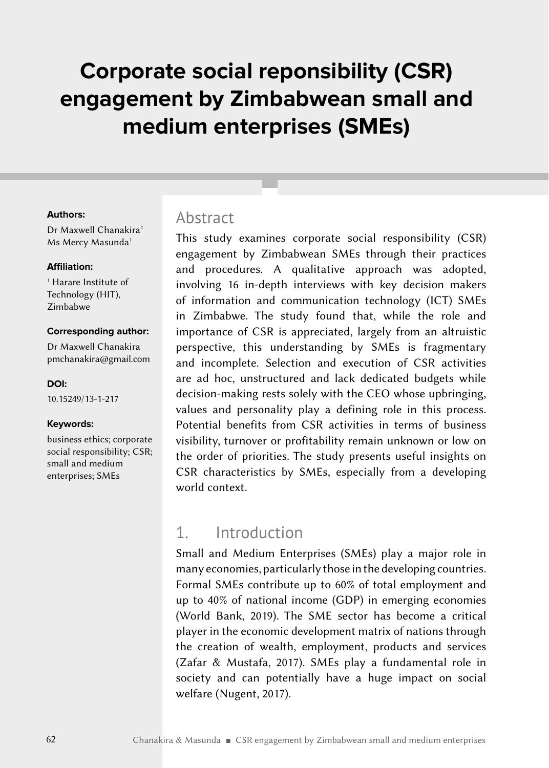# **Corporate social reponsibility (CSR) engagement by Zimbabwean small and medium enterprises (SMEs)**

#### **Authors:**

Dr Maxwell Chanakira<sup>1</sup> Ms Mercy Masunda<sup>1</sup>

#### **Affiliation:**

1 Harare Institute of Technology (HIT), Zimbabwe

#### **Corresponding author:**

Dr Maxwell Chanakira [pmchanakira@gmail.com](mailto:pmchanakira%40gmail.com?subject=)

#### **DOI:**

[10.15249/13-1-217](https://doi.org/10.15249/13-1-217)

#### **Keywords:**

business ethics; corporate social responsibility; CSR; small and medium enterprises; SMEs

#### Abstract

This study examines corporate social responsibility (CSR) engagement by Zimbabwean SMEs through their practices and procedures. A qualitative approach was adopted, involving 16 in-depth interviews with key decision makers of information and communication technology (ICT) SMEs in Zimbabwe. The study found that, while the role and importance of CSR is appreciated, largely from an altruistic perspective, this understanding by SMEs is fragmentary and incomplete. Selection and execution of CSR activities are ad hoc, unstructured and lack dedicated budgets while decision-making rests solely with the CEO whose upbringing, values and personality play a defining role in this process. Potential benefits from CSR activities in terms of business visibility, turnover or profitability remain unknown or low on the order of priorities. The study presents useful insights on CSR characteristics by SMEs, especially from a developing world context.

### 1. Introduction

Small and Medium Enterprises (SMEs) play a major role in many economies, particularly those in the developing countries. Formal SMEs contribute up to 60% of total employment and up to 40% of national income (GDP) in emerging economies (World Bank, 2019). The SME sector has become a critical player in the economic development matrix of nations through the creation of wealth, employment, products and services (Zafar & Mustafa, 2017). SMEs play a fundamental role in society and can potentially have a huge impact on social welfare (Nugent, 2017).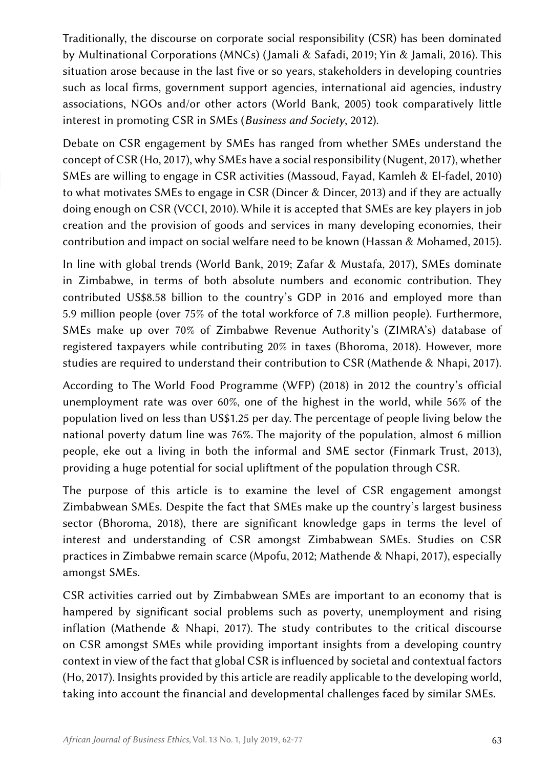Traditionally, the discourse on corporate social responsibility (CSR) has been dominated by Multinational Corporations (MNCs) (Jamali & Safadi, 2019; Yin & Jamali, 2016). This situation arose because in the last five or so years, stakeholders in developing countries such as local firms, government support agencies, international aid agencies, industry associations, NGOs and/or other actors (World Bank, 2005) took comparatively little interest in promoting CSR in SMEs (*Business and Society*, 2012).

Debate on CSR engagement by SMEs has ranged from whether SMEs understand the concept of CSR (Ho, 2017), why SMEs have a social responsibility (Nugent, 2017), whether SMEs are willing to engage in CSR activities (Massoud, Fayad, Kamleh & El-fadel, 2010) to what motivates SMEs to engage in CSR (Dincer & Dincer, 2013) and if they are actually doing enough on CSR (VCCI, 2010). While it is accepted that SMEs are key players in job creation and the provision of goods and services in many developing economies, their contribution and impact on social welfare need to be known (Hassan & Mohamed, 2015).

In line with global trends (World Bank, 2019; Zafar & Mustafa, 2017), SMEs dominate in Zimbabwe, in terms of both absolute numbers and economic contribution. They contributed US\$8.58 billion to the country's GDP in 2016 and employed more than 5.9 million people (over 75% of the total workforce of 7.8 million people). Furthermore, SMEs make up over 70% of Zimbabwe Revenue Authority's (ZIMRA's) database of registered taxpayers while contributing 20% in taxes (Bhoroma, 2018). However, more studies are required to understand their contribution to CSR (Mathende & Nhapi, 2017).

According to The World Food Programme (WFP) (2018) in 2012 the country's official unemployment rate was over 60%, one of the highest in the world, while 56% of the population lived on less than US\$1.25 per day. The percentage of people living below the national poverty datum line was 76%. The majority of the population, almost 6 million people, eke out a living in both the informal and SME sector (Finmark Trust, 2013), providing a huge potential for social upliftment of the population through CSR.

The purpose of this article is to examine the level of CSR engagement amongst Zimbabwean SMEs. Despite the fact that SMEs make up the country's largest business sector (Bhoroma, 2018), there are significant knowledge gaps in terms the level of interest and understanding of CSR amongst Zimbabwean SMEs. Studies on CSR practices in Zimbabwe remain scarce (Mpofu, 2012; Mathende & Nhapi, 2017), especially amongst SMEs.

CSR activities carried out by Zimbabwean SMEs are important to an economy that is hampered by significant social problems such as poverty, unemployment and rising inflation (Mathende & Nhapi, 2017). The study contributes to the critical discourse on CSR amongst SMEs while providing important insights from a developing country context in view of the fact that global CSR is influenced by societal and contextual factors (Ho, 2017). Insights provided by this article are readily applicable to the developing world, taking into account the financial and developmental challenges faced by similar SMEs.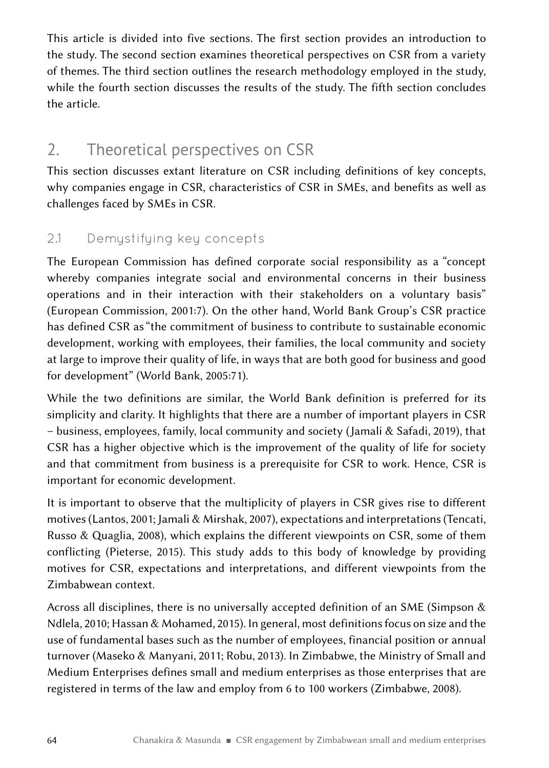This article is divided into five sections. The first section provides an introduction to the study. The second section examines theoretical perspectives on CSR from a variety of themes. The third section outlines the research methodology employed in the study, while the fourth section discusses the results of the study. The fifth section concludes the article.

# 2. Theoretical perspectives on CSR

This section discusses extant literature on CSR including definitions of key concepts, why companies engage in CSR, characteristics of CSR in SMEs, and benefits as well as challenges faced by SMEs in CSR.

### 2.1 Demystifying key concepts

The European Commission has defined corporate social responsibility as a "concept whereby companies integrate social and environmental concerns in their business operations and in their interaction with their stakeholders on a voluntary basis" (European Commission, 2001:7). On the other hand, World Bank Group's CSR practice has defined CSR as "the commitment of business to contribute to sustainable economic development, working with employees, their families, the local community and society at large to improve their quality of life, in ways that are both good for business and good for development" (World Bank, 2005:71).

While the two definitions are similar, the World Bank definition is preferred for its simplicity and clarity. It highlights that there are a number of important players in CSR – business, employees, family, local community and society (Jamali & Safadi, 2019), that CSR has a higher objective which is the improvement of the quality of life for society and that commitment from business is a prerequisite for CSR to work. Hence, CSR is important for economic development.

It is important to observe that the multiplicity of players in CSR gives rise to different motives (Lantos, 2001; Jamali & Mirshak, 2007), expectations and interpretations (Tencati, Russo & Quaglia, 2008), which explains the different viewpoints on CSR, some of them conflicting (Pieterse, 2015). This study adds to this body of knowledge by providing motives for CSR, expectations and interpretations, and different viewpoints from the Zimbabwean context.

Across all disciplines, there is no universally accepted definition of an SME (Simpson  $\&$ Ndlela, 2010; Hassan & Mohamed, 2015). In general, most definitions focus on size and the use of fundamental bases such as the number of employees, financial position or annual turnover (Maseko & Manyani, 2011; Robu, 2013). In Zimbabwe, the Ministry of Small and Medium Enterprises defines small and medium enterprises as those enterprises that are registered in terms of the law and employ from 6 to 100 workers (Zimbabwe, 2008).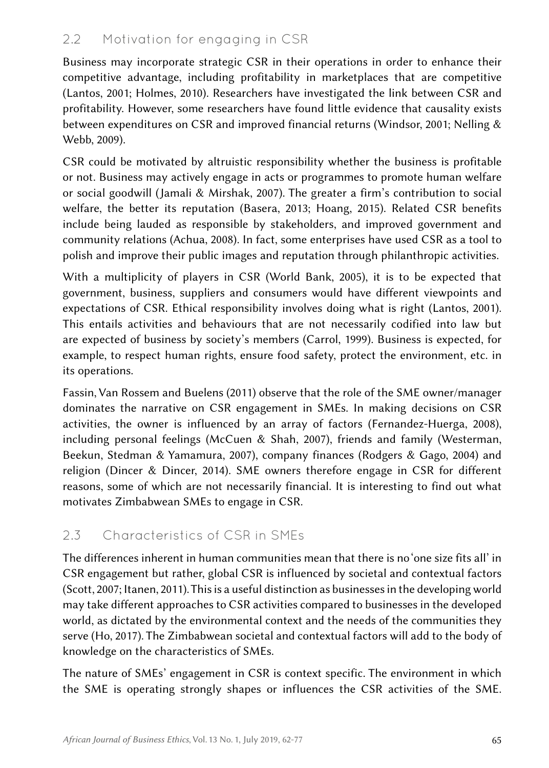### 2.2 Motivation for engaging in CSR

Business may incorporate strategic CSR in their operations in order to enhance their competitive advantage, including profitability in marketplaces that are competitive (Lantos, 2001; Holmes, 2010). Researchers have investigated the link between CSR and profitability. However, some researchers have found little evidence that causality exists between expenditures on CSR and improved financial returns (Windsor, 2001; Nelling & Webb, 2009).

CSR could be motivated by altruistic responsibility whether the business is profitable or not. Business may actively engage in acts or programmes to promote human welfare or social goodwill (Jamali & Mirshak, 2007). The greater a firm's contribution to social welfare, the better its reputation (Basera, 2013; Hoang, 2015). Related CSR benefits include being lauded as responsible by stakeholders, and improved government and community relations (Achua, 2008). In fact, some enterprises have used CSR as a tool to polish and improve their public images and reputation through philanthropic activities.

With a multiplicity of players in CSR (World Bank, 2005), it is to be expected that government, business, suppliers and consumers would have different viewpoints and expectations of CSR. Ethical responsibility involves doing what is right (Lantos, 2001). This entails activities and behaviours that are not necessarily codified into law but are expected of business by society's members (Carrol, 1999). Business is expected, for example, to respect human rights, ensure food safety, protect the environment, etc. in its operations.

Fassin, Van Rossem and Buelens (2011) observe that the role of the SME owner/manager dominates the narrative on CSR engagement in SMEs. In making decisions on CSR activities, the owner is influenced by an array of factors (Fernandez-Huerga, 2008), including personal feelings (McCuen & Shah, 2007), friends and family (Westerman, Beekun, Stedman & Yamamura, 2007), company finances (Rodgers & Gago, 2004) and religion (Dincer & Dincer, 2014). SME owners therefore engage in CSR for different reasons, some of which are not necessarily financial. It is interesting to find out what motivates Zimbabwean SMEs to engage in CSR.

#### 2.3 Characteristics of CSR in SMEs

The differences inherent in human communities mean that there is no 'one size fits all' in CSR engagement but rather, global CSR is influenced by societal and contextual factors (Scott, 2007; Itanen, 2011). This is a useful distinction as businesses in the developing world may take different approaches to CSR activities compared to businesses in the developed world, as dictated by the environmental context and the needs of the communities they serve (Ho, 2017). The Zimbabwean societal and contextual factors will add to the body of knowledge on the characteristics of SMEs.

The nature of SMEs' engagement in CSR is context specific. The environment in which the SME is operating strongly shapes or influences the CSR activities of the SME.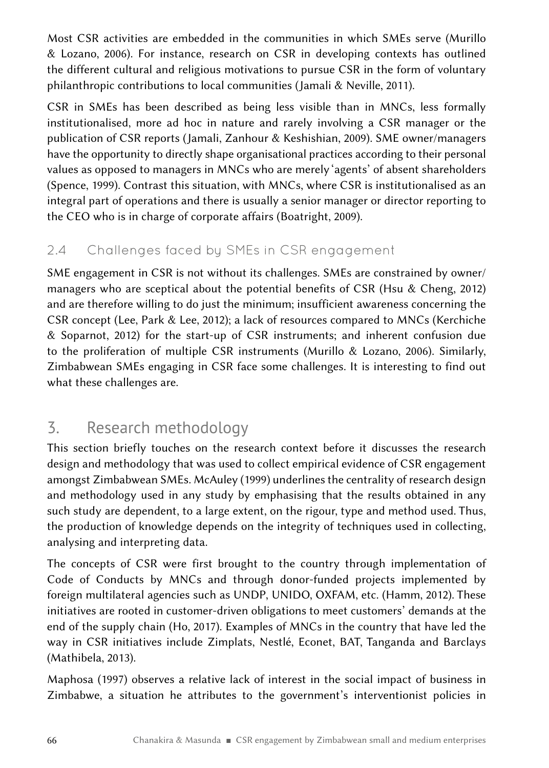Most CSR activities are embedded in the communities in which SMEs serve (Murillo & Lozano, 2006). For instance, research on CSR in developing contexts has outlined the different cultural and religious motivations to pursue CSR in the form of voluntary philanthropic contributions to local communities (Jamali & Neville, 2011).

CSR in SMEs has been described as being less visible than in MNCs, less formally institutionalised, more ad hoc in nature and rarely involving a CSR manager or the publication of CSR reports (Jamali, Zanhour & Keshishian, 2009). SME owner/managers have the opportunity to directly shape organisational practices according to their personal values as opposed to managers in MNCs who are merely 'agents' of absent shareholders (Spence, 1999). Contrast this situation, with MNCs, where CSR is institutionalised as an integral part of operations and there is usually a senior manager or director reporting to the CEO who is in charge of corporate affairs (Boatright, 2009).

### 2.4 Challenges faced by SMEs in CSR engagement

SME engagement in CSR is not without its challenges. SMEs are constrained by owner/ managers who are sceptical about the potential benefits of CSR (Hsu & Cheng, 2012) and are therefore willing to do just the minimum; insufficient awareness concerning the CSR concept (Lee, Park & Lee, 2012); a lack of resources compared to MNCs (Kerchiche & Soparnot, 2012) for the start-up of CSR instruments; and inherent confusion due to the proliferation of multiple CSR instruments (Murillo & Lozano, 2006). Similarly, Zimbabwean SMEs engaging in CSR face some challenges. It is interesting to find out what these challenges are.

# 3. Research methodology

This section briefly touches on the research context before it discusses the research design and methodology that was used to collect empirical evidence of CSR engagement amongst Zimbabwean SMEs. McAuley (1999) underlines the centrality of research design and methodology used in any study by emphasising that the results obtained in any such study are dependent, to a large extent, on the rigour, type and method used. Thus, the production of knowledge depends on the integrity of techniques used in collecting, analysing and interpreting data.

The concepts of CSR were first brought to the country through implementation of Code of Conducts by MNCs and through donor-funded projects implemented by foreign multilateral agencies such as UNDP, UNIDO, OXFAM, etc. (Hamm, 2012). These initiatives are rooted in customer-driven obligations to meet customers' demands at the end of the supply chain (Ho, 2017). Examples of MNCs in the country that have led the way in CSR initiatives include Zimplats, Nestlé, Econet, BAT, Tanganda and Barclays (Mathibela, 2013).

Maphosa (1997) observes a relative lack of interest in the social impact of business in Zimbabwe, a situation he attributes to the government's interventionist policies in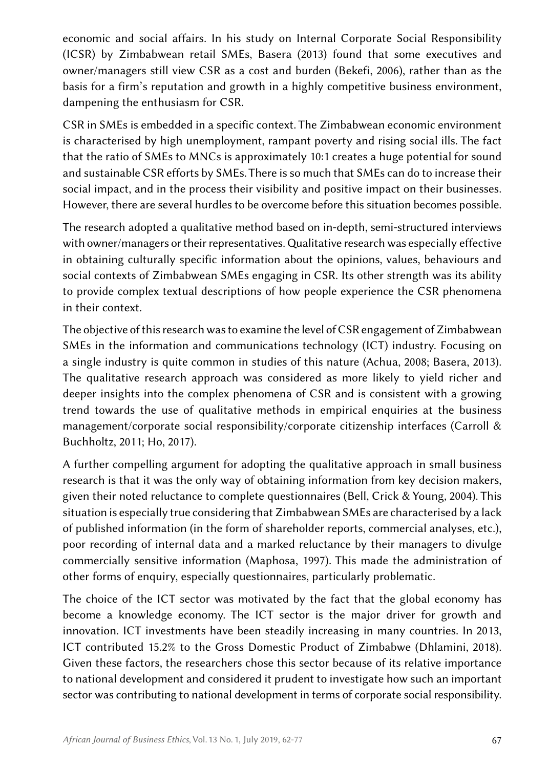economic and social affairs. In his study on Internal Corporate Social Responsibility (ICSR) by Zimbabwean retail SMEs, Basera (2013) found that some executives and owner/managers still view CSR as a cost and burden (Bekefi, 2006), rather than as the basis for a firm's reputation and growth in a highly competitive business environment, dampening the enthusiasm for CSR.

CSR in SMEs is embedded in a specific context. The Zimbabwean economic environment is characterised by high unemployment, rampant poverty and rising social ills. The fact that the ratio of SMEs to MNCs is approximately 10:1 creates a huge potential for sound and sustainable CSR efforts by SMEs. There is so much that SMEs can do to increase their social impact, and in the process their visibility and positive impact on their businesses. However, there are several hurdles to be overcome before this situation becomes possible.

The research adopted a qualitative method based on in-depth, semi-structured interviews with owner/managers or their representatives. Qualitative research was especially effective in obtaining culturally specific information about the opinions, values, behaviours and social contexts of Zimbabwean SMEs engaging in CSR. Its other strength was its ability to provide complex textual descriptions of how people experience the CSR phenomena in their context.

The objective of this research was to examine the level of CSR engagement of Zimbabwean SMEs in the information and communications technology (ICT) industry. Focusing on a single industry is quite common in studies of this nature (Achua, 2008; Basera, 2013). The qualitative research approach was considered as more likely to yield richer and deeper insights into the complex phenomena of CSR and is consistent with a growing trend towards the use of qualitative methods in empirical enquiries at the business management/corporate social responsibility/corporate citizenship interfaces (Carroll & Buchholtz, 2011; Ho, 2017).

A further compelling argument for adopting the qualitative approach in small business research is that it was the only way of obtaining information from key decision makers, given their noted reluctance to complete questionnaires (Bell, Crick & Young, 2004). This situation is especially true considering that Zimbabwean SMEs are characterised by a lack of published information (in the form of shareholder reports, commercial analyses, etc.), poor recording of internal data and a marked reluctance by their managers to divulge commercially sensitive information (Maphosa, 1997). This made the administration of other forms of enquiry, especially questionnaires, particularly problematic.

The choice of the ICT sector was motivated by the fact that the global economy has become a knowledge economy. The ICT sector is the major driver for growth and innovation. ICT investments have been steadily increasing in many countries. In 2013, ICT contributed 15.2% to the Gross Domestic Product of Zimbabwe (Dhlamini, 2018). Given these factors, the researchers chose this sector because of its relative importance to national development and considered it prudent to investigate how such an important sector was contributing to national development in terms of corporate social responsibility.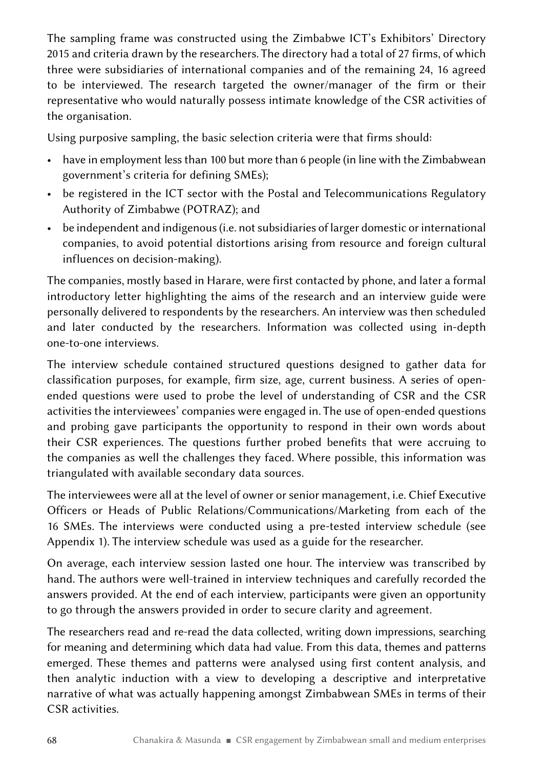The sampling frame was constructed using the Zimbabwe ICT's Exhibitors' Directory 2015 and criteria drawn by the researchers. The directory had a total of 27 firms, of which three were subsidiaries of international companies and of the remaining 24, 16 agreed to be interviewed. The research targeted the owner/manager of the firm or their representative who would naturally possess intimate knowledge of the CSR activities of the organisation.

Using purposive sampling, the basic selection criteria were that firms should:

- have in employment less than 100 but more than 6 people (in line with the Zimbabwean government's criteria for defining SMEs);
- be registered in the ICT sector with the Postal and Telecommunications Regulatory Authority of Zimbabwe (POTRAZ); and
- be independent and indigenous (i.e. not subsidiaries of larger domestic or international companies, to avoid potential distortions arising from resource and foreign cultural influences on decision-making).

The companies, mostly based in Harare, were first contacted by phone, and later a formal introductory letter highlighting the aims of the research and an interview guide were personally delivered to respondents by the researchers. An interview was then scheduled and later conducted by the researchers. Information was collected using in-depth one-to-one interviews.

The interview schedule contained structured questions designed to gather data for classification purposes, for example, firm size, age, current business. A series of openended questions were used to probe the level of understanding of CSR and the CSR activities the interviewees' companies were engaged in. The use of open-ended questions and probing gave participants the opportunity to respond in their own words about their CSR experiences. The questions further probed benefits that were accruing to the companies as well the challenges they faced. Where possible, this information was triangulated with available secondary data sources.

The interviewees were all at the level of owner or senior management, i.e. Chief Executive Officers or Heads of Public Relations/Communications/Marketing from each of the 16 SMEs. The interviews were conducted using a pre-tested interview schedule (see Appendix 1). The interview schedule was used as a guide for the researcher.

On average, each interview session lasted one hour. The interview was transcribed by hand. The authors were well-trained in interview techniques and carefully recorded the answers provided. At the end of each interview, participants were given an opportunity to go through the answers provided in order to secure clarity and agreement.

The researchers read and re-read the data collected, writing down impressions, searching for meaning and determining which data had value. From this data, themes and patterns emerged. These themes and patterns were analysed using first content analysis, and then analytic induction with a view to developing a descriptive and interpretative narrative of what was actually happening amongst Zimbabwean SMEs in terms of their CSR activities.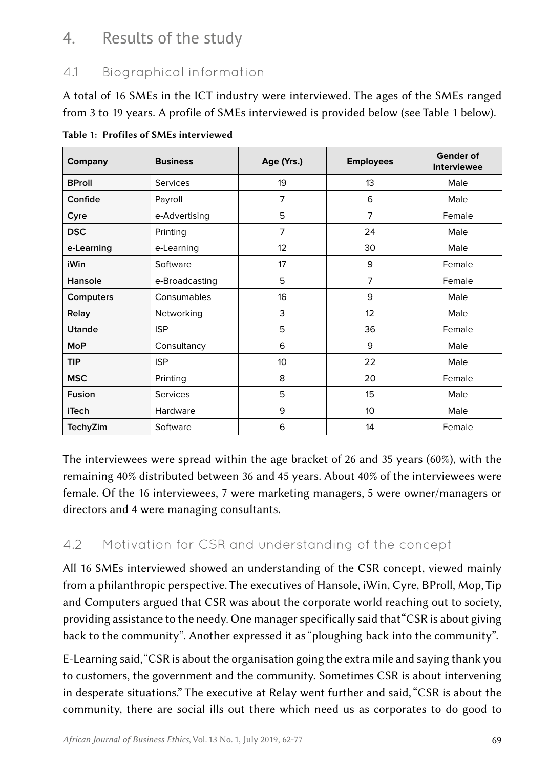# 4. Results of the study

### 4.1 Biographical information

A total of 16 SMEs in the ICT industry were interviewed. The ages of the SMEs ranged from 3 to 19 years. A profile of SMEs interviewed is provided below (see Table 1 below).

| Company       | <b>Business</b> | Age (Yrs.)     | <b>Employees</b> | <b>Gender of</b><br><b>Interviewee</b> |
|---------------|-----------------|----------------|------------------|----------------------------------------|
| <b>BProll</b> | <b>Services</b> | 19             | 13               | Male                                   |
| Confide       | Payroll         | $\overline{7}$ | 6                | Male                                   |
| Cyre          | e-Advertising   | 5              | $\overline{7}$   | Female                                 |
| <b>DSC</b>    | Printing        | $\overline{7}$ | 24               | Male                                   |
| e-Learning    | e-Learning      | 12             | 30               | Male                                   |
| iWin          | Software        | 17             | 9                | Female                                 |
| Hansole       | e-Broadcasting  | 5              | 7                | Female                                 |
| Computers     | Consumables     | 16             | 9                | Male                                   |
| Relay         | Networking      | 3              | 12               | Male                                   |
| <b>Utande</b> | <b>ISP</b>      | 5              | 36               | Female                                 |
| <b>MoP</b>    | Consultancy     | 6              | 9                | Male                                   |
| <b>TIP</b>    | <b>ISP</b>      | 10             | 22               | Male                                   |
| <b>MSC</b>    | Printing        | 8              | 20               | Female                                 |
| Fusion        | <b>Services</b> | 5              | 15               | Male                                   |
| <b>iTech</b>  | Hardware        | 9              | 10 <sup>10</sup> | Male                                   |
| TechyZim      | Software        | 6              | 14               | Female                                 |

Table 1: Profiles of SMEs interviewed

The interviewees were spread within the age bracket of 26 and 35 years (60%), with the remaining 40% distributed between 36 and 45 years. About 40% of the interviewees were female. Of the 16 interviewees, 7 were marketing managers, 5 were owner/managers or directors and 4 were managing consultants.

### 4.2 Motivation for CSR and understanding of the concept

All 16 SMEs interviewed showed an understanding of the CSR concept, viewed mainly from a philanthropic perspective. The executives of Hansole, iWin, Cyre, BProll, Mop, Tip and Computers argued that CSR was about the corporate world reaching out to society, providing assistance to the needy. One manager specifically said that "CSR is about giving back to the community". Another expressed it as "ploughing back into the community".

E-Learning said, "CSR is about the organisation going the extra mile and saying thank you to customers, the government and the community. Sometimes CSR is about intervening in desperate situations." The executive at Relay went further and said, "CSR is about the community, there are social ills out there which need us as corporates to do good to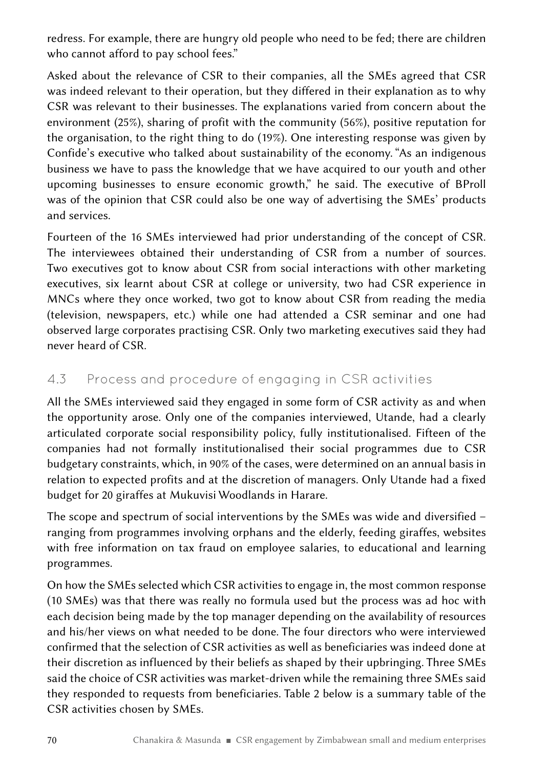redress. For example, there are hungry old people who need to be fed; there are children who cannot afford to pay school fees."

Asked about the relevance of CSR to their companies, all the SMEs agreed that CSR was indeed relevant to their operation, but they differed in their explanation as to why CSR was relevant to their businesses. The explanations varied from concern about the environment (25%), sharing of profit with the community (56%), positive reputation for the organisation, to the right thing to do (19%). One interesting response was given by Confide's executive who talked about sustainability of the economy. "As an indigenous business we have to pass the knowledge that we have acquired to our youth and other upcoming businesses to ensure economic growth," he said. The executive of BProll was of the opinion that CSR could also be one way of advertising the SMEs' products and services.

Fourteen of the 16 SMEs interviewed had prior understanding of the concept of CSR. The interviewees obtained their understanding of CSR from a number of sources. Two executives got to know about CSR from social interactions with other marketing executives, six learnt about CSR at college or university, two had CSR experience in MNCs where they once worked, two got to know about CSR from reading the media (television, newspapers, etc.) while one had attended a CSR seminar and one had observed large corporates practising CSR. Only two marketing executives said they had never heard of CSR.

#### 4.3 Process and procedure of engaging in CSR activities

All the SMEs interviewed said they engaged in some form of CSR activity as and when the opportunity arose. Only one of the companies interviewed, Utande, had a clearly articulated corporate social responsibility policy, fully institutionalised. Fifteen of the companies had not formally institutionalised their social programmes due to CSR budgetary constraints, which, in 90% of the cases, were determined on an annual basis in relation to expected profits and at the discretion of managers. Only Utande had a fixed budget for 20 giraffes at Mukuvisi Woodlands in Harare.

The scope and spectrum of social interventions by the SMEs was wide and diversified – ranging from programmes involving orphans and the elderly, feeding giraffes, websites with free information on tax fraud on employee salaries, to educational and learning programmes.

On how the SMEs selected which CSR activities to engage in, the most common response (10 SMEs) was that there was really no formula used but the process was ad hoc with each decision being made by the top manager depending on the availability of resources and his/her views on what needed to be done. The four directors who were interviewed confirmed that the selection of CSR activities as well as beneficiaries was indeed done at their discretion as influenced by their beliefs as shaped by their upbringing. Three SMEs said the choice of CSR activities was market-driven while the remaining three SMEs said they responded to requests from beneficiaries. Table 2 below is a summary table of the CSR activities chosen by SMEs.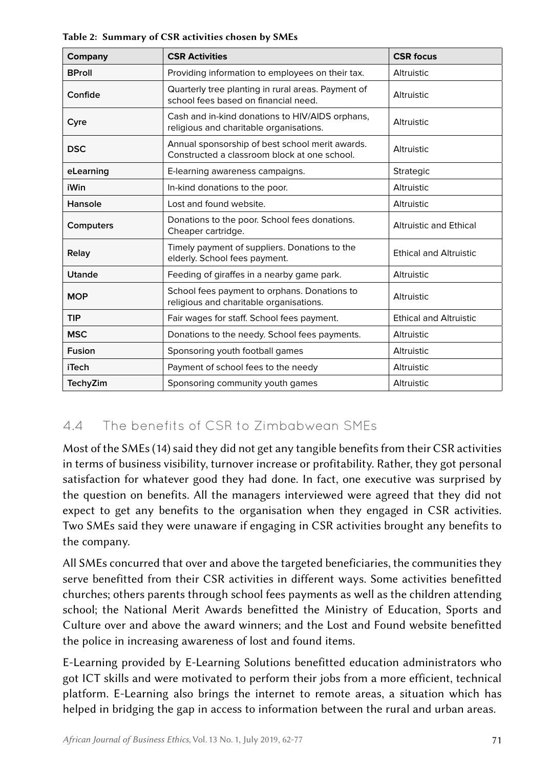| Company       | <b>CSR Activities</b>                                                                           | <b>CSR focus</b>              |  |
|---------------|-------------------------------------------------------------------------------------------------|-------------------------------|--|
| <b>BProll</b> | Providing information to employees on their tax.                                                | Altruistic                    |  |
| Confide       | Quarterly tree planting in rural areas. Payment of<br>school fees based on financial need.      | Altruistic                    |  |
| Cyre          | Cash and in-kind donations to HIV/AIDS orphans,<br>religious and charitable organisations.      | Altruistic                    |  |
| <b>DSC</b>    | Annual sponsorship of best school merit awards.<br>Constructed a classroom block at one school. | Altruistic                    |  |
| eLearning     | E-learning awareness campaigns.                                                                 | <b>Strategic</b>              |  |
| iWin          | In-kind donations to the poor.                                                                  | Altruistic                    |  |
| Hansole       | Lost and found website.                                                                         | Altruistic                    |  |
| Computers     | Donations to the poor. School fees donations.<br>Cheaper cartridge.                             | <b>Altruistic and Ethical</b> |  |
| Relay         | Timely payment of suppliers. Donations to the<br>elderly. School fees payment.                  | <b>Ethical and Altruistic</b> |  |
| Utande        | Feeding of giraffes in a nearby game park.                                                      | Altruistic                    |  |
| <b>MOP</b>    | School fees payment to orphans. Donations to<br>religious and charitable organisations.         | Altruistic                    |  |
| <b>TIP</b>    | Fair wages for staff. School fees payment.                                                      | <b>Ethical and Altruistic</b> |  |
| <b>MSC</b>    | Donations to the needy. School fees payments.                                                   | Altruistic                    |  |
| Fusion        | Sponsoring youth football games                                                                 | Altruistic                    |  |
| <b>iTech</b>  | Payment of school fees to the needy                                                             | Altruistic                    |  |
| TechyZim      | Sponsoring community youth games                                                                | Altruistic                    |  |

Table 2: Summary of CSR activities chosen by SMEs

### 4.4 The benefits of CSR to Zimbabwean SMEs

Most of the SMEs (14) said they did not get any tangible benefits from their CSR activities in terms of business visibility, turnover increase or profitability. Rather, they got personal satisfaction for whatever good they had done. In fact, one executive was surprised by the question on benefits. All the managers interviewed were agreed that they did not expect to get any benefits to the organisation when they engaged in CSR activities. Two SMEs said they were unaware if engaging in CSR activities brought any benefits to the company.

All SMEs concurred that over and above the targeted beneficiaries, the communities they serve benefitted from their CSR activities in different ways. Some activities benefitted churches; others parents through school fees payments as well as the children attending school; the National Merit Awards benefitted the Ministry of Education, Sports and Culture over and above the award winners; and the Lost and Found website benefitted the police in increasing awareness of lost and found items.

E-Learning provided by E-Learning Solutions benefitted education administrators who got ICT skills and were motivated to perform their jobs from a more efficient, technical platform. E-Learning also brings the internet to remote areas, a situation which has helped in bridging the gap in access to information between the rural and urban areas.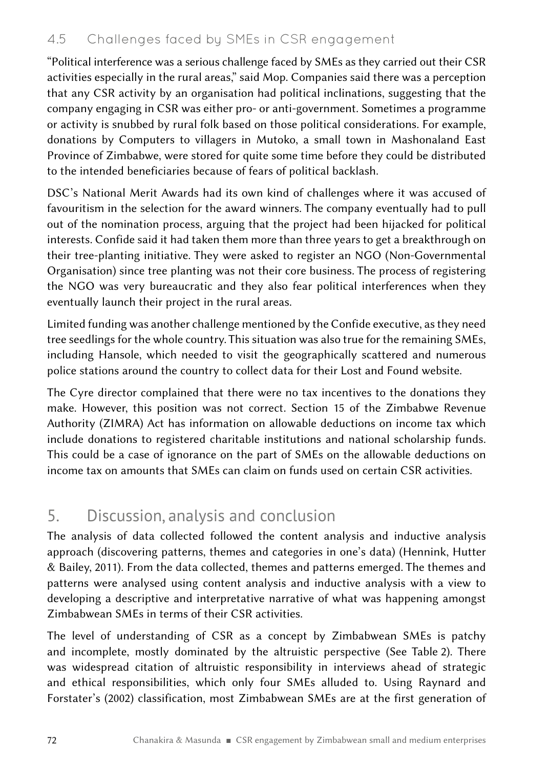#### 4.5 Challenges faced by SMEs in CSR engagement

"Political interference was a serious challenge faced by SMEs as they carried out their CSR activities especially in the rural areas," said Mop. Companies said there was a perception that any CSR activity by an organisation had political inclinations, suggesting that the company engaging in CSR was either pro- or anti-government. Sometimes a programme or activity is snubbed by rural folk based on those political considerations. For example, donations by Computers to villagers in Mutoko, a small town in Mashonaland East Province of Zimbabwe, were stored for quite some time before they could be distributed to the intended beneficiaries because of fears of political backlash.

DSC's National Merit Awards had its own kind of challenges where it was accused of favouritism in the selection for the award winners. The company eventually had to pull out of the nomination process, arguing that the project had been hijacked for political interests. Confide said it had taken them more than three years to get a breakthrough on their tree-planting initiative. They were asked to register an NGO (Non-Governmental Organisation) since tree planting was not their core business. The process of registering the NGO was very bureaucratic and they also fear political interferences when they eventually launch their project in the rural areas.

Limited funding was another challenge mentioned by the Confide executive, as they need tree seedlings for the whole country. This situation was also true for the remaining SMEs, including Hansole, which needed to visit the geographically scattered and numerous police stations around the country to collect data for their Lost and Found website.

The Cyre director complained that there were no tax incentives to the donations they make. However, this position was not correct. Section 15 of the Zimbabwe Revenue Authority (ZIMRA) Act has information on allowable deductions on income tax which include donations to registered charitable institutions and national scholarship funds. This could be a case of ignorance on the part of SMEs on the allowable deductions on income tax on amounts that SMEs can claim on funds used on certain CSR activities.

# 5. Discussion, analysis and conclusion

The analysis of data collected followed the content analysis and inductive analysis approach (discovering patterns, themes and categories in one's data) (Hennink, Hutter & Bailey, 2011). From the data collected, themes and patterns emerged. The themes and patterns were analysed using content analysis and inductive analysis with a view to developing a descriptive and interpretative narrative of what was happening amongst Zimbabwean SMEs in terms of their CSR activities.

The level of understanding of CSR as a concept by Zimbabwean SMEs is patchy and incomplete, mostly dominated by the altruistic perspective (See Table  2). There was widespread citation of altruistic responsibility in interviews ahead of strategic and ethical responsibilities, which only four SMEs alluded to. Using Raynard and Forstater's (2002) classification, most Zimbabwean SMEs are at the first generation of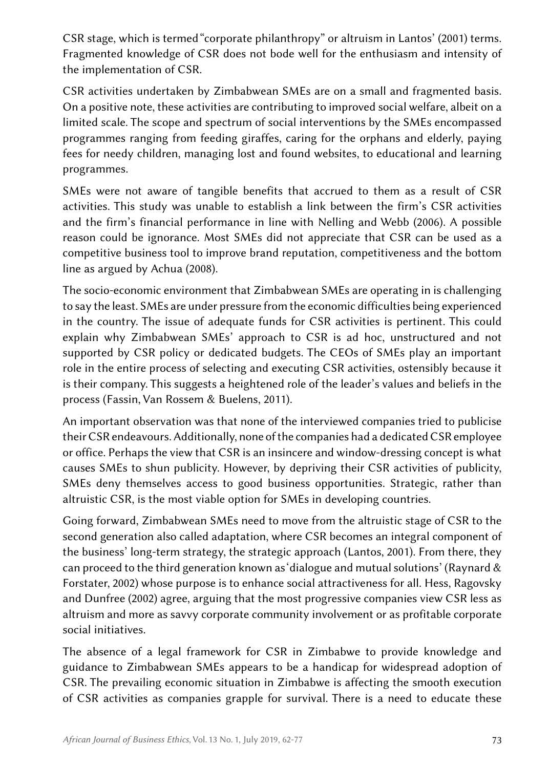CSR stage, which is termed "corporate philanthropy" or altruism in Lantos' (2001) terms. Fragmented knowledge of CSR does not bode well for the enthusiasm and intensity of the implementation of CSR.

CSR activities undertaken by Zimbabwean SMEs are on a small and fragmented basis. On a positive note, these activities are contributing to improved social welfare, albeit on a limited scale. The scope and spectrum of social interventions by the SMEs encompassed programmes ranging from feeding giraffes, caring for the orphans and elderly, paying fees for needy children, managing lost and found websites, to educational and learning programmes.

SMEs were not aware of tangible benefits that accrued to them as a result of CSR activities. This study was unable to establish a link between the firm's CSR activities and the firm's financial performance in line with Nelling and Webb (2006). A possible reason could be ignorance. Most SMEs did not appreciate that CSR can be used as a competitive business tool to improve brand reputation, competitiveness and the bottom line as argued by Achua (2008).

The socio-economic environment that Zimbabwean SMEs are operating in is challenging to say the least. SMEs are under pressure from the economic difficulties being experienced in the country. The issue of adequate funds for CSR activities is pertinent. This could explain why Zimbabwean SMEs' approach to CSR is ad hoc, unstructured and not supported by CSR policy or dedicated budgets. The CEOs of SMEs play an important role in the entire process of selecting and executing CSR activities, ostensibly because it is their company. This suggests a heightened role of the leader's values and beliefs in the process (Fassin, Van Rossem & Buelens, 2011).

An important observation was that none of the interviewed companies tried to publicise their CSR endeavours. Additionally, none of the companies had a dedicated CSR employee or office. Perhaps the view that CSR is an insincere and window-dressing concept is what causes SMEs to shun publicity. However, by depriving their CSR activities of publicity, SMEs deny themselves access to good business opportunities. Strategic, rather than altruistic CSR, is the most viable option for SMEs in developing countries.

Going forward, Zimbabwean SMEs need to move from the altruistic stage of CSR to the second generation also called adaptation, where CSR becomes an integral component of the business' long-term strategy, the strategic approach (Lantos, 2001). From there, they can proceed to the third generation known as 'dialogue and mutual solutions' (Raynard & Forstater, 2002) whose purpose is to enhance social attractiveness for all. Hess, Ragovsky and Dunfree (2002) agree, arguing that the most progressive companies view CSR less as altruism and more as savvy corporate community involvement or as profitable corporate social initiatives.

The absence of a legal framework for CSR in Zimbabwe to provide knowledge and guidance to Zimbabwean SMEs appears to be a handicap for widespread adoption of CSR. The prevailing economic situation in Zimbabwe is affecting the smooth execution of CSR activities as companies grapple for survival. There is a need to educate these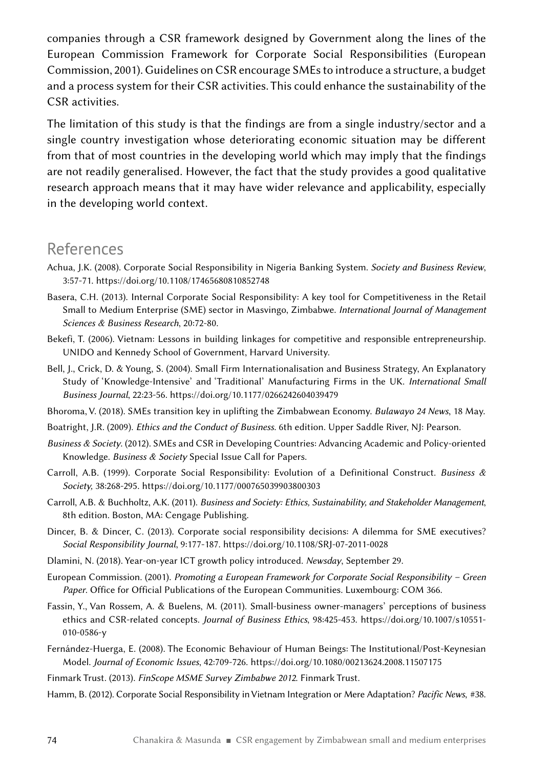companies through a CSR framework designed by Government along the lines of the European Commission Framework for Corporate Social Responsibilities (European Commission, 2001). Guidelines on CSR encourage SMEs to introduce a structure, a budget and a process system for their CSR activities. This could enhance the sustainability of the CSR activities.

The limitation of this study is that the findings are from a single industry/sector and a single country investigation whose deteriorating economic situation may be different from that of most countries in the developing world which may imply that the findings are not readily generalised. However, the fact that the study provides a good qualitative research approach means that it may have wider relevance and applicability, especially in the developing world context.

### References

- Achua, J.K. (2008). Corporate Social Responsibility in Nigeria Banking System. *Society and Business Review*, 3:57-71. <https://doi.org/10.1108/17465680810852748>
- Basera, C.H. (2013). Internal Corporate Social Responsibility: A key tool for Competitiveness in the Retail Small to Medium Enterprise (SME) sector in Masvingo, Zimbabwe. *International Journal of Management Sciences & Business Research*, 20:72-80.
- Bekefi, T. (2006). Vietnam: Lessons in building linkages for competitive and responsible entrepreneurship. UNIDO and Kennedy School of Government, Harvard University.
- Bell, J., Crick, D. & Young, S. (2004). Small Firm Internationalisation and Business Strategy, An Explanatory Study of 'Knowledge-Intensive' and 'Traditional' Manufacturing Firms in the UK. *International Small Business Journal*, 22:23-56. <https://doi.org/10.1177/0266242604039479>
- Bhoroma, V. (2018). SMEs transition key in uplifting the Zimbabwean Economy. *Bulawayo 24 News*, 18 May.
- Boatright, J.R. (2009). *Ethics and the Conduct of Business*. 6th edition. Upper Saddle River, NJ: Pearson.
- *Business & Society*. (2012). SMEs and CSR in Developing Countries: Advancing Academic and Policy-oriented Knowledge. *Business & Society* Special Issue Call for Papers.
- Carroll, A.B. (1999). Corporate Social Responsibility: Evolution of a Definitional Construct. *Business & Society,* 38:268-295.<https://doi.org/10.1177/000765039903800303>
- Carroll, A.B. & Buchholtz, A.K. (2011). *Business and Society: Ethics, Sustainability, and Stakeholder Management*, 8th edition. Boston, MA: Cengage Publishing.
- Dincer, B. & Dincer, C. (2013). Corporate social responsibility decisions: A dilemma for SME executives? *Social Responsibility Journal*, 9:177-187. <https://doi.org/10.1108/SRJ-07-2011-0028>
- Dlamini, N. (2018). Year-on-year ICT growth policy introduced. *Newsday*, September 29.
- European Commission. (2001). *Promoting a European Framework for Corporate Social Responsibility Green Paper*. Office for Official Publications of the European Communities. Luxembourg: COM 366.
- Fassin, Y., Van Rossem, A. & Buelens, M. (2011). Small-business owner-managers' perceptions of business ethics and CSR-related concepts. *Journal of Business Ethics*, 98:425-453. [https://doi.org/10.1007/s10551-](https://doi.org/10.1007/s10551-010-0586-y) [010-0586-y](https://doi.org/10.1007/s10551-010-0586-y)
- Fernández-Huerga, E. (2008). The Economic Behaviour of Human Beings: The Institutional/Post-Keynesian Model. *Journal of Economic Issues*, 42:709-726. <https://doi.org/10.1080/00213624.2008.11507175>
- Finmark Trust. (2013). *FinScope MSME Survey Zimbabwe 2012*. Finmark Trust.
- Hamm, B. (2012). Corporate Social Responsibility in Vietnam Integration or Mere Adaptation? Pacific News, #38.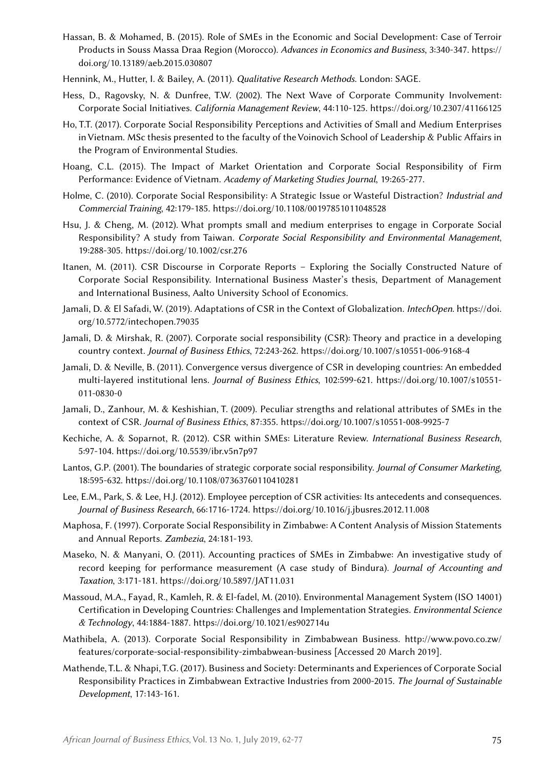- Hassan, B. & Mohamed, B. (2015). Role of SMEs in the Economic and Social Development: Case of Terroir Products in Souss Massa Draa Region (Morocco). *Advances in Economics and Business*, 3:340-347. [https://](https://doi.org/10.13189/aeb.2015.030807) [doi.org/10.13189/aeb.2015.030807](https://doi.org/10.13189/aeb.2015.030807)
- Hennink, M., Hutter, I. & Bailey, A. (2011). *Qualitative Research Methods*. London: SAGE.
- Hess, D., Ragovsky, N. & Dunfree, T.W. (2002). The Next Wave of Corporate Community Involvement: Corporate Social Initiatives. *California Management Review*, 44:110-125. <https://doi.org/10.2307/41166125>
- Ho, T.T. (2017). Corporate Social Responsibility Perceptions and Activities of Small and Medium Enterprises in Vietnam. MSc thesis presented to the faculty of the Voinovich School of Leadership & Public Affairs in the Program of Environmental Studies.
- Hoang, C.L. (2015). The Impact of Market Orientation and Corporate Social Responsibility of Firm Performance: Evidence of Vietnam. *Academy of Marketing Studies Journal*, 19:265-277.
- Holme, C. (2010). Corporate Social Responsibility: A Strategic Issue or Wasteful Distraction? *Industrial and Commercial Training*, 42:179-185.<https://doi.org/10.1108/00197851011048528>
- Hsu, J. & Cheng, M. (2012). What prompts small and medium enterprises to engage in Corporate Social Responsibility? A study from Taiwan. *Corporate Social Responsibility and Environmental Management*, 19:288-305.<https://doi.org/10.1002/csr.276>
- Itanen, M. (2011). CSR Discourse in Corporate Reports Exploring the Socially Constructed Nature of Corporate Social Responsibility. International Business Master's thesis, Department of Management and International Business, Aalto University School of Economics.
- Jamali, D. & El Safadi, W. (2019). Adaptations of CSR in the Context of Globalization. *IntechOpen*. [https://doi.](https://doi.org/10.5772/intechopen.79035) [org/10.5772/intechopen.79035](https://doi.org/10.5772/intechopen.79035)
- Jamali, D. & Mirshak, R. (2007). Corporate social responsibility (CSR): Theory and practice in a developing country context. *Journal of Business Ethics*, 72:243-262. <https://doi.org/10.1007/s10551-006-9168-4>
- Jamali, D. & Neville, B. (2011). Convergence versus divergence of CSR in developing countries: An embedded multi-layered institutional lens. *Journal of Business Ethics*, 102:599-621. [https://doi.org/10.1007/s10551-](https://doi.org/10.1007/s10551-011-0830-0) [011-0830-0](https://doi.org/10.1007/s10551-011-0830-0)
- Jamali, D., Zanhour, M. & Keshishian, T. (2009). Peculiar strengths and relational attributes of SMEs in the context of CSR. *Journal of Business Ethics*, 87:355. <https://doi.org/10.1007/s10551-008-9925-7>
- Kechiche, A. & Soparnot, R. (2012). CSR within SMEs: Literature Review. *International Business Research*, 5:97-104.<https://doi.org/10.5539/ibr.v5n7p97>
- Lantos, G.P. (2001). The boundaries of strategic corporate social responsibility. *Journal of Consumer Marketing*, 18:595-632.<https://doi.org/10.1108/07363760110410281>
- Lee, E.M., Park, S. & Lee, H.J. (2012). Employee perception of CSR activities: Its antecedents and consequences. *Journal of Business Research*, 66:1716-1724.<https://doi.org/10.1016/j.jbusres.2012.11.008>
- Maphosa, F. (1997). Corporate Social Responsibility in Zimbabwe: A Content Analysis of Mission Statements and Annual Reports. *Zambezia*, 24:181-193.
- Maseko, N. & Manyani, O. (2011). Accounting practices of SMEs in Zimbabwe: An investigative study of record keeping for performance measurement (A case study of Bindura). *Journal of Accounting and Taxation*, 3:171-181. <https://doi.org/10.5897/JAT11.031>
- Massoud, M.A., Fayad, R., Kamleh, R. & El-fadel, M. (2010). Environmental Management System (ISO 14001) Certification in Developing Countries: Challenges and Implementation Strategies. *Environmental Science & Technology*, 44:1884-1887. <https://doi.org/10.1021/es902714u>
- Mathibela, A. (2013). Corporate Social Responsibility in Zimbabwean Business. [http://www.povo.co.zw/](http://www.povo.co.zw/features/corporate-social-responsibility-zimbabwean-business) [features/corporate-social-responsibility-zimbabwean-business](http://www.povo.co.zw/features/corporate-social-responsibility-zimbabwean-business) [Accessed 20 March 2019].
- Mathende, T.L. & Nhapi, T.G. (2017). Business and Society: Determinants and Experiences of Corporate Social Responsibility Practices in Zimbabwean Extractive Industries from 2000-2015. *The Journal of Sustainable Development*, 17:143-161.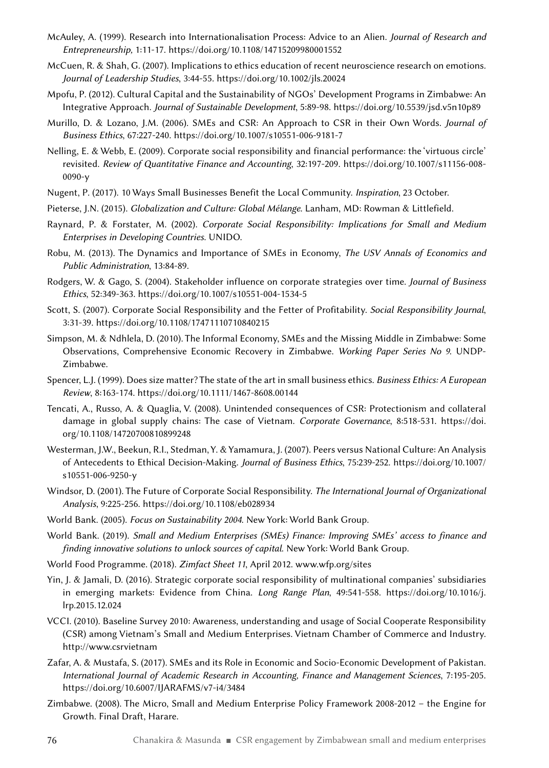- McAuley, A. (1999). Research into Internationalisation Process: Advice to an Alien. *Journal of Research and Entrepreneurship,* 1:11-17.<https://doi.org/10.1108/14715209980001552>
- McCuen, R. & Shah, G. (2007). Implications to ethics education of recent neuroscience research on emotions*. Journal of Leadership Studies*, 3:44-55. <https://doi.org/10.1002/jls.20024>
- Mpofu, P. (2012). Cultural Capital and the Sustainability of NGOs' Development Programs in Zimbabwe: An Integrative Approach. *Journal of Sustainable Development*, 5:89-98. <https://doi.org/10.5539/jsd.v5n10p89>
- Murillo, D. & Lozano, J.M. (2006). SMEs and CSR: An Approach to CSR in their Own Words. *Journal of Business Ethics*, 67:227-240.<https://doi.org/10.1007/s10551-006-9181-7>
- Nelling, E. & Webb, E. (2009). Corporate social responsibility and financial performance: the 'virtuous circle' revisited. *Review of Quantitative Finance and Accounting*, 32:197-209. [https://doi.org/10.1007/s11156-008-](https://doi.org/10.1007/s11156-008-0090-y) [0090-y](https://doi.org/10.1007/s11156-008-0090-y)
- Nugent, P. (2017). 10 Ways Small Businesses Benefit the Local Community. *Inspiration*, 23 October.
- Pieterse, J.N. (2015). *Globalization and Culture: Global Mélange.* Lanham, MD: Rowman & Littlefield.
- Raynard, P. & Forstater, M. (2002). *Corporate Social Responsibility: Implications for Small and Medium Enterprises in Developing Countries*. UNIDO.
- Robu, M. (2013). The Dynamics and Importance of SMEs in Economy, *The USV Annals of Economics and Public Administration*, 13:84-89.
- Rodgers, W. & Gago, S. (2004). Stakeholder influence on corporate strategies over time. *Journal of Business Ethics*, 52:349-363. <https://doi.org/10.1007/s10551-004-1534-5>
- Scott, S. (2007). Corporate Social Responsibility and the Fetter of Profitability. *Social Responsibility Journal*, 3:31-39. <https://doi.org/10.1108/17471110710840215>
- Simpson, M. & Ndhlela, D. (2010). The Informal Economy, SMEs and the Missing Middle in Zimbabwe: Some Observations, Comprehensive Economic Recovery in Zimbabwe. *Working Paper Series No 9*. UNDP-Zimbabwe.
- Spencer, L.J. (1999). Does size matter? The state of the art in small business ethics. *Business Ethics: A European Review*, 8:163-174.<https://doi.org/10.1111/1467-8608.00144>
- Tencati, A., Russo, A. & Quaglia, V. (2008). Unintended consequences of CSR: Protectionism and collateral damage in global supply chains: The case of Vietnam. *Corporate Governance*, 8:518-531. [https://doi.](https://doi.org/10.1108/14720700810899248) [org/10.1108/14720700810899248](https://doi.org/10.1108/14720700810899248)
- Westerman, J.W., Beekun, R.I., Stedman, Y. & Yamamura, J. (2007). Peers versus National Culture: An Analysis of Antecedents to Ethical Decision-Making. *Journal of Business Ethics*, 75:239-252. [https://doi.org/10.1007/](https://doi.org/10.1007/s10551-006-9250-y) [s10551-006-9250-y](https://doi.org/10.1007/s10551-006-9250-y)
- Windsor, D. (2001). The Future of Corporate Social Responsibility. *The International Journal of Organizational Analysis*, 9:225-256.<https://doi.org/10.1108/eb028934>
- World Bank. (2005). *Focus on Sustainability 2004*. New York: World Bank Group.
- World Bank. (2019). *Small and Medium Enterprises (SMEs) Finance: Improving SMEs' access to finance and finding innovative solutions to unlock sources of capital*. New York: World Bank Group.
- World Food Programme. (2018). *Zimfact Sheet 11*, April 2012. [www.wfp.org/sites](http://www.wfp.org/sites)
- Yin, J. & Jamali, D. (2016). Strategic corporate social responsibility of multinational companies' subsidiaries in emerging markets: Evidence from China. *Long Range Plan*, 49:541-558. [https://doi.org/10.1016/j.](https://doi.org/10.1016/j.lrp.2015.12.024) [lrp.2015.12.024](https://doi.org/10.1016/j.lrp.2015.12.024)
- VCCI. (2010). Baseline Survey 2010: Awareness, understanding and usage of Social Cooperate Responsibility (CSR) among Vietnam's Small and Medium Enterprises. Vietnam Chamber of Commerce and Industry. <http://www.csrvietnam>
- Zafar, A. & Mustafa, S. (2017). SMEs and its Role in Economic and Socio-Economic Development of Pakistan. *International Journal of Academic Research in Accounting, Finance and Management Sciences*, 7:195-205. <https://doi.org/10.6007/IJARAFMS/v7-i4/3484>
- Zimbabwe. (2008). The Micro, Small and Medium Enterprise Policy Framework 2008-2012 the Engine for Growth. Final Draft, Harare.